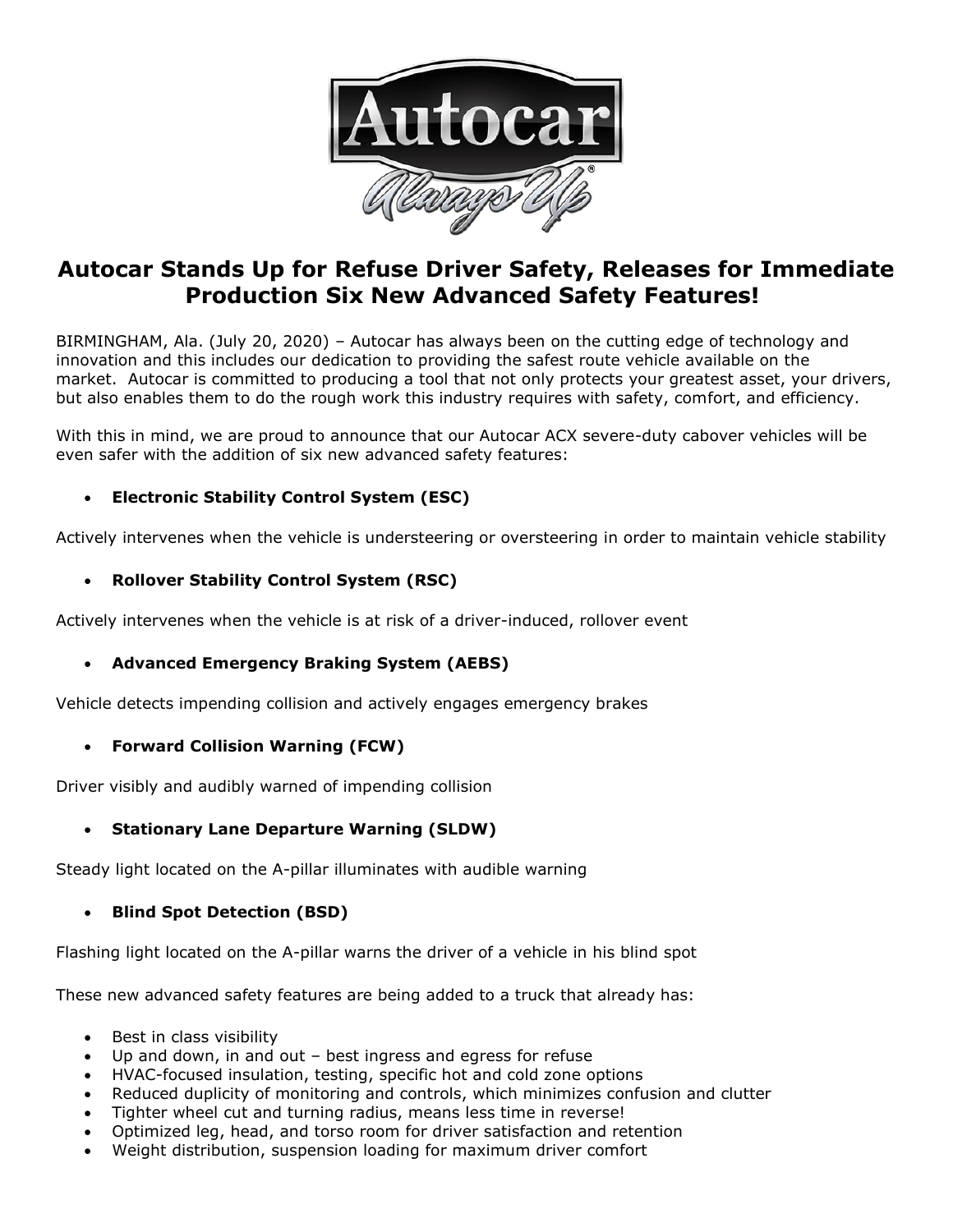

# **Autocar Stands Up for Refuse Driver Safety, Releases for Immediate Production Six New Advanced Safety Features!**

BIRMINGHAM, Ala. (July 20, 2020) – Autocar has always been on the cutting edge of technology and innovation and this includes our dedication to providing the safest route vehicle available on the market. Autocar is committed to producing a tool that not only protects your greatest asset, your drivers, but also enables them to do the rough work this industry requires with safety, comfort, and efficiency.

With this in mind, we are proud to announce that our Autocar ACX severe-duty cabover vehicles will be even safer with the addition of six new advanced safety features:

## • **Electronic Stability Control System (ESC)**

Actively intervenes when the vehicle is understeering or oversteering in order to maintain vehicle stability

### • **Rollover Stability Control System (RSC)**

Actively intervenes when the vehicle is at risk of a driver-induced, rollover event

## • **Advanced Emergency Braking System (AEBS)**

Vehicle detects impending collision and actively engages emergency brakes

#### • **Forward Collision Warning (FCW)**

Driver visibly and audibly warned of impending collision

## • **Stationary Lane Departure Warning (SLDW)**

Steady light located on the A-pillar illuminates with audible warning

#### • **Blind Spot Detection (BSD)**

Flashing light located on the A-pillar warns the driver of a vehicle in his blind spot

These new advanced safety features are being added to a truck that already has:

- Best in class visibility
- Up and down, in and out  $-$  best ingress and egress for refuse
- HVAC-focused insulation, testing, specific hot and cold zone options
- Reduced duplicity of monitoring and controls, which minimizes confusion and clutter
- Tighter wheel cut and turning radius, means less time in reverse!
- Optimized leg, head, and torso room for driver satisfaction and retention
- Weight distribution, suspension loading for maximum driver comfort